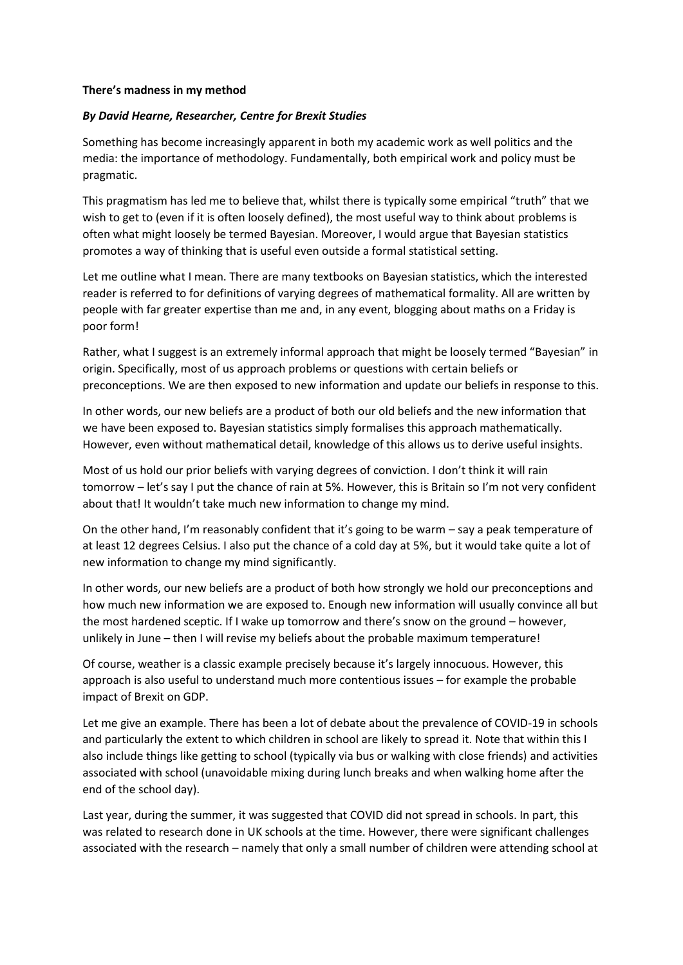## **There's madness in my method**

## *By David Hearne, Researcher, Centre for Brexit Studies*

Something has become increasingly apparent in both my academic work as well politics and the media: the importance of methodology. Fundamentally, both empirical work and policy must be pragmatic.

This pragmatism has led me to believe that, whilst there is typically some empirical "truth" that we wish to get to (even if it is often loosely defined), the most useful way to think about problems is often what might loosely be termed Bayesian. Moreover, I would argue that Bayesian statistics promotes a way of thinking that is useful even outside a formal statistical setting.

Let me outline what I mean. There are many textbooks on Bayesian statistics, which the interested reader is referred to for definitions of varying degrees of mathematical formality. All are written by people with far greater expertise than me and, in any event, blogging about maths on a Friday is poor form!

Rather, what I suggest is an extremely informal approach that might be loosely termed "Bayesian" in origin. Specifically, most of us approach problems or questions with certain beliefs or preconceptions. We are then exposed to new information and update our beliefs in response to this.

In other words, our new beliefs are a product of both our old beliefs and the new information that we have been exposed to. Bayesian statistics simply formalises this approach mathematically. However, even without mathematical detail, knowledge of this allows us to derive useful insights.

Most of us hold our prior beliefs with varying degrees of conviction. I don't think it will rain tomorrow – let's say I put the chance of rain at 5%. However, this is Britain so I'm not very confident about that! It wouldn't take much new information to change my mind.

On the other hand, I'm reasonably confident that it's going to be warm – say a peak temperature of at least 12 degrees Celsius. I also put the chance of a cold day at 5%, but it would take quite a lot of new information to change my mind significantly.

In other words, our new beliefs are a product of both how strongly we hold our preconceptions and how much new information we are exposed to. Enough new information will usually convince all but the most hardened sceptic. If I wake up tomorrow and there's snow on the ground – however, unlikely in June – then I will revise my beliefs about the probable maximum temperature!

Of course, weather is a classic example precisely because it's largely innocuous. However, this approach is also useful to understand much more contentious issues – for example the probable impact of Brexit on GDP.

Let me give an example. There has been a lot of debate about the prevalence of COVID-19 in schools and particularly the extent to which children in school are likely to spread it. Note that within this I also include things like getting to school (typically via bus or walking with close friends) and activities associated with school (unavoidable mixing during lunch breaks and when walking home after the end of the school day).

Last year, during the summer, it was suggested that COVID did not spread in schools. In part, this was related to research done in UK schools at the time. However, there were significant challenges associated with the research – namely that only a small number of children were attending school at